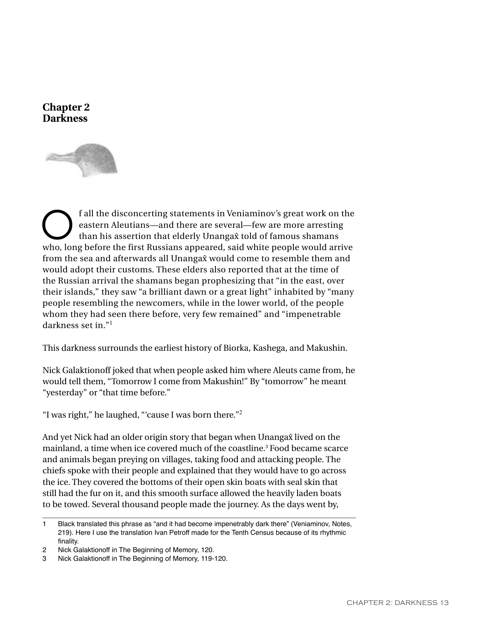



**C**<br> **C** f all the disconcerting statements in Veniaminov's great work on the<br>
eastern Aleutians—and there are several—few are more arresting<br>
than his assertion that elderly Unangas told of famous shamans eastern Aleutians—and there are several—few are more arresting than his assertion that elderly Unanga $\hat{x}$  told of famous shamans who, long before the first Russians appeared, said white people would arrive from the sea and afterwards all Unangax would come to resemble them and would adopt their customs. These elders also reported that at the time of the Russian arrival the shamans began prophesizing that "in the east, over their islands," they saw "a brilliant dawn or a great light" inhabited by "many people resembling the newcomers, while in the lower world, of the people whom they had seen there before, very few remained" and "impenetrable darkness set in. $"$ <sup>1</sup>

This darkness surrounds the earliest history of Biorka, Kashega, and Makushin.

Nick Galaktionoff joked that when people asked him where Aleuts came from, he would tell them, "Tomorrow I come from Makushin!" By "tomorrow" he meant "yesterday" or "that time before."

"I was right," he laughed, "'cause I was born there."<sup>2</sup>

And yet Nick had an older origin story that began when Unangax lived on the mainland, a time when ice covered much of the coastline.3 Food became scarce and animals began preying on villages, taking food and attacking people. The chiefs spoke with their people and explained that they would have to go across the ice. They covered the bottoms of their open skin boats with seal skin that still had the fur on it, and this smooth surface allowed the heavily laden boats to be towed. Several thousand people made the journey. As the days went by,

<sup>1</sup> Black translated this phrase as "and it had become impenetrably dark there" (Veniaminov, Notes, 219). Here I use the translation Ivan Petroff made for the Tenth Census because of its rhythmic finality.

<sup>2</sup> Nick Galaktionoff in The Beginning of Memory, 120.

<sup>3</sup> Nick Galaktionoff in The Beginning of Memory, 119-120.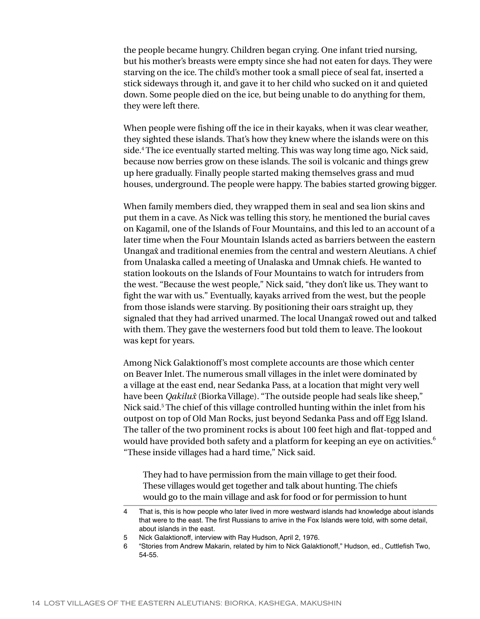the people became hungry. Children began crying. One infant tried nursing, but his mother's breasts were empty since she had not eaten for days. They were starving on the ice. The child's mother took a small piece of seal fat, inserted a stick sideways through it, and gave it to her child who sucked on it and quieted down. Some people died on the ice, but being unable to do anything for them, they were left there.

When people were fishing off the ice in their kayaks, when it was clear weather, they sighted these islands. That's how they knew where the islands were on this side.4 The ice eventually started melting. This was way long time ago, Nick said, because now berries grow on these islands. The soil is volcanic and things grew up here gradually. Finally people started making themselves grass and mud houses, underground. The people were happy. The babies started growing bigger.

When family members died, they wrapped them in seal and sea lion skins and put them in a cave. As Nick was telling this story, he mentioned the burial caves on Kagamil, one of the Islands of Four Mountains, and this led to an account of a later time when the Four Mountain Islands acted as barriers between the eastern Unanga $\hat{x}$  and traditional enemies from the central and western Aleutians. A chief from Unalaska called a meeting of Unalaska and Umnak chiefs. He wanted to station lookouts on the Islands of Four Mountains to watch for intruders from the west. "Because the west people," Nick said, "they don't like us. They want to fight the war with us." Eventually, kayaks arrived from the west, but the people from those islands were starving. By positioning their oars straight up, they signaled that they had arrived unarmed. The local Unanga $\hat{x}$  rowed out and talked with them. They gave the westerners food but told them to leave. The lookout was kept for years.

Among Nick Galaktionoff's most complete accounts are those which center on Beaver Inlet. The numerous small villages in the inlet were dominated by a village at the east end, near Sedanka Pass, at a location that might very well have been *Qakilu{* (Biorka Village). "The outside people had seals like sheep," Nick said.<sup>5</sup> The chief of this village controlled hunting within the inlet from his outpost on top of Old Man Rocks, just beyond Sedanka Pass and off Egg Island. The taller of the two prominent rocks is about 100 feet high and flat-topped and would have provided both safety and a platform for keeping an eye on activities.<sup>6</sup> "These inside villages had a hard time," Nick said.

They had to have permission from the main village to get their food. These villages would get together and talk about hunting. The chiefs would go to the main village and ask for food or for permission to hunt

- 5 Nick Galaktionoff, interview with Ray Hudson, April 2, 1976.
- 6 "Stories from Andrew Makarin, related by him to Nick Galaktionoff," Hudson, ed., Cuttlefish Two, 54-55.

<sup>4</sup> That is, this is how people who later lived in more westward islands had knowledge about islands that were to the east. The first Russians to arrive in the Fox Islands were told, with some detail, about islands in the east.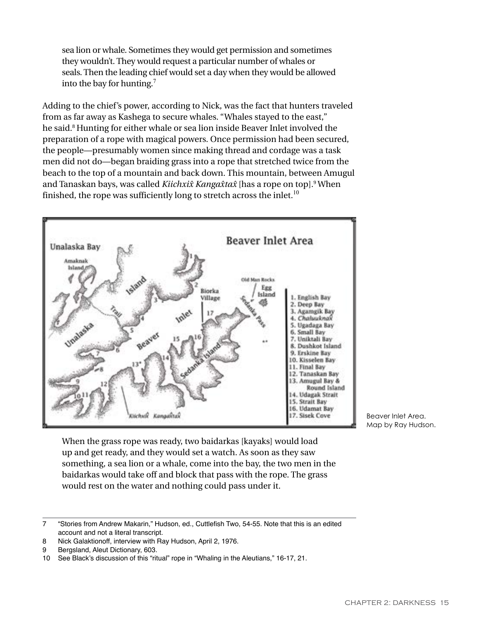sea lion or whale. Sometimes they would get permission and sometimes they wouldn't. They would request a particular number of whales or seals. Then the leading chief would set a day when they would be allowed into the bay for hunting.<sup>7</sup>

Adding to the chief's power, according to Nick, was the fact that hunters traveled from as far away as Kashega to secure whales. "Whales stayed to the east," he said.<sup>8</sup> Hunting for either whale or sea lion inside Beaver Inlet involved the preparation of a rope with magical powers. Once permission had been secured, the people—presumably women since making thread and cordage was a task men did not do—began braiding grass into a rope that stretched twice from the beach to the top of a mountain and back down. This mountain, between Amugul and Tanaskan bays, was called *Kiichxix̂ Kangax̂tax*̂ [has a rope on top].<sup>9</sup> When finished, the rope was sufficiently long to stretch across the inlet.<sup>10</sup>



Beaver Inlet Area. Map by Ray Hudson.

When the grass rope was ready, two baidarkas [kayaks] would load up and get ready, and they would set a watch. As soon as they saw something, a sea lion or a whale, come into the bay, the two men in the baidarkas would take off and block that pass with the rope. The grass would rest on the water and nothing could pass under it.

<sup>7</sup> "Stories from Andrew Makarin," Hudson, ed., Cuttlefish Two, 54-55. Note that this is an edited account and not a literal transcript.

<sup>8</sup> Nick Galaktionoff, interview with Ray Hudson, April 2, 1976.

<sup>9</sup> Bergsland, Aleut Dictionary, 603.

<sup>10</sup> See Black's discussion of this "ritual" rope in "Whaling in the Aleutians," 16-17, 21.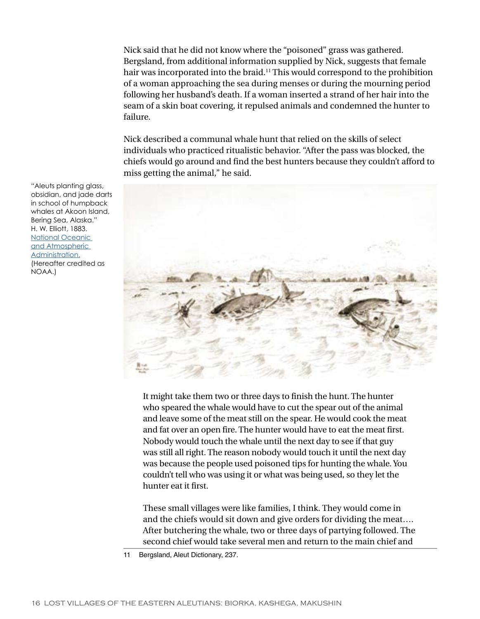Nick said that he did not know where the "poisoned" grass was gathered. Bergsland, from additional information supplied by Nick, suggests that female hair was incorporated into the braid.<sup>11</sup> This would correspond to the prohibition of a woman approaching the sea during menses or during the mourning period following her husband's death. If a woman inserted a strand of her hair into the seam of a skin boat covering, it repulsed animals and condemned the hunter to failure.

Nick described a communal whale hunt that relied on the skills of select individuals who practiced ritualistic behavior. "After the pass was blocked, the chiefs would go around and find the best hunters because they couldn't afford to miss getting the animal," he said.



It might take them two or three days to finish the hunt. The hunter who speared the whale would have to cut the spear out of the animal and leave some of the meat still on the spear. He would cook the meat and fat over an open fire. The hunter would have to eat the meat first. Nobody would touch the whale until the next day to see if that guy was still all right. The reason nobody would touch it until the next day was because the people used poisoned tips for hunting the whale. You couldn't tell who was using it or what was being used, so they let the hunter eat it first.

These small villages were like families, I think. They would come in and the chiefs would sit down and give orders for dividing the meat…. After butchering the whale, two or three days of partying followed. The second chief would take several men and return to the main chief and

"Aleuts planting glass, obsidian, and jade darts in school of humpback whales at Akoon Island, Bering Sea, Alaska." H. W. Elliott, 1883. [National Oceanic](http://www.photolib.noaa.gov/)  [and Atmospheric](http://www.photolib.noaa.gov/)  [Administration.](http://www.photolib.noaa.gov/) (Hereafter credited as NOAA.)

<sup>11</sup> Bergsland, Aleut Dictionary, 237.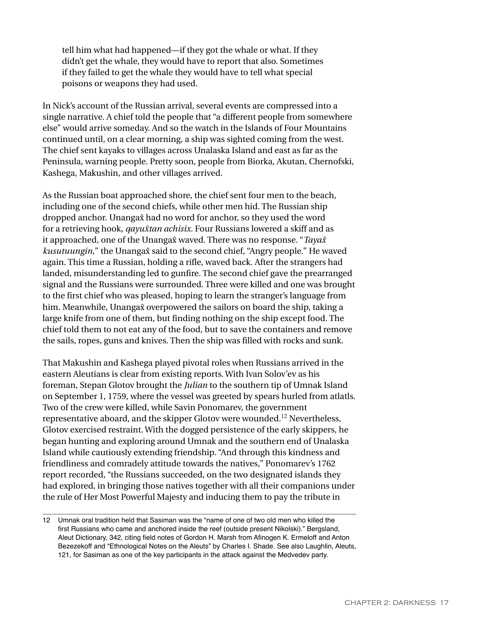tell him what had happened—if they got the whale or what. If they didn't get the whale, they would have to report that also. Sometimes if they failed to get the whale they would have to tell what special poisons or weapons they had used.

In Nick's account of the Russian arrival, several events are compressed into a single narrative. A chief told the people that "a different people from somewhere else" would arrive someday. And so the watch in the Islands of Four Mountains continued until, on a clear morning, a ship was sighted coming from the west. The chief sent kayaks to villages across Unalaska Island and east as far as the Peninsula, warning people. Pretty soon, people from Biorka, Akutan, Chernofski, Kashega, Makushin, and other villages arrived.

As the Russian boat approached shore, the chief sent four men to the beach, including one of the second chiefs, while other men hid. The Russian ship dropped anchor. Unanga $\hat{x}$  had no word for anchor, so they used the word for a retrieving hook, *qayu{tan achisix.* Four Russians lowered a skiff and as it approached, one of the Unanga<sub>x</sub> waved. There was no response. "*Tayax kusutuungin*," the Unanga $\hat{x}$  said to the second chief, "Angry people." He waved again. This time a Russian, holding a rifle, waved back. After the strangers had landed, misunderstanding led to gunfire. The second chief gave the prearranged signal and the Russians were surrounded. Three were killed and one was brought to the first chief who was pleased, hoping to learn the stranger's language from him. Meanwhile, Unanga $\hat{x}$  overpowered the sailors on board the ship, taking a large knife from one of them, but finding nothing on the ship except food. The chief told them to not eat any of the food, but to save the containers and remove the sails, ropes, guns and knives. Then the ship was filled with rocks and sunk.

That Makushin and Kashega played pivotal roles when Russians arrived in the eastern Aleutians is clear from existing reports. With Ivan Solov'ev as his foreman, Stepan Glotov brought the *Julian* to the southern tip of Umnak Island on September 1, 1759, where the vessel was greeted by spears hurled from atlatls. Two of the crew were killed, while Savin Ponomarev, the government representative aboard, and the skipper Glotov were wounded.<sup>12</sup> Nevertheless, Glotov exercised restraint. With the dogged persistence of the early skippers, he began hunting and exploring around Umnak and the southern end of Unalaska Island while cautiously extending friendship. "And through this kindness and friendliness and comradely attitude towards the natives," Ponomarev's 1762 report recorded, "the Russians succeeded, on the two designated islands they had explored, in bringing those natives together with all their companions under the rule of Her Most Powerful Majesty and inducing them to pay the tribute in

<sup>12</sup> Umnak oral tradition held that Sasiman was the "name of one of two old men who killed the first Russians who came and anchored inside the reef (outside present Nikolski)." Bergsland, Aleut Dictionary, 342, citing field notes of Gordon H. Marsh from Afinogen K. Ermeloff and Anton Bezezekoff and "Ethnological Notes on the Aleuts" by Charles I. Shade. See also Laughlin, Aleuts, 121, for Sasiman as one of the key participants in the attack against the Medvedev party.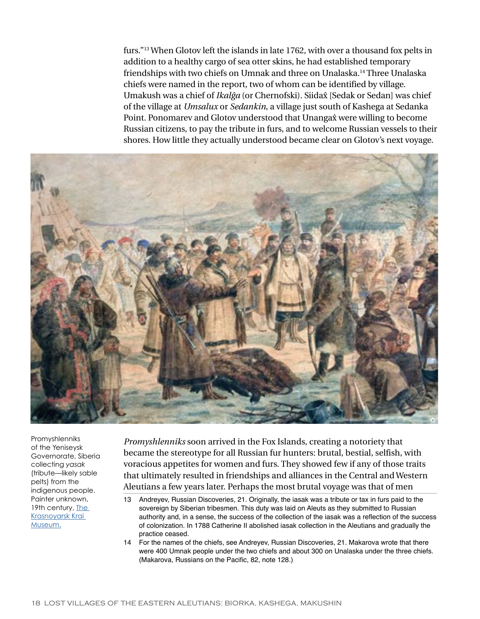furs."<sup>13</sup> When Glotov left the islands in late 1762, with over a thousand fox pelts in addition to a healthy cargo of sea otter skins, he had established temporary friendships with two chiefs on Umnak and three on Unalaska.<sup>14</sup> Three Unalaska chiefs were named in the report, two of whom can be identified by village. Umakush was a chief of *Ikalĝa* (or Chernofski). Siidax̂ [Sedak or Sedan] was chief of the village at *Umsalux* or *Sedankin*, a village just south of Kashega at Sedanka Point. Ponomarev and Glotov understood that Unanga $\hat{x}$  were willing to become Russian citizens, to pay the tribute in furs, and to welcome Russian vessels to their shores. How little they actually understood became clear on Glotov's next voyage.



Promyshlenniks of the Yeniseysk Governorate, Siberia collecting *yasak* (tribute—likely sable pelts) from the indigenous people. Painter unknown, 19th century, The [Krasnoyarsk Krai](http://en.wikipedia.org/wiki/Fur_trade#mediaviewer/File:Sbor_Yasaka.jpg)  [Museum.](http://en.wikipedia.org/wiki/Fur_trade#mediaviewer/File:Sbor_Yasaka.jpg)

*Promyshlenniks* soon arrived in the Fox Islands, creating a notoriety that became the stereotype for all Russian fur hunters: brutal, bestial, selfish, with voracious appetites for women and furs. They showed few if any of those traits that ultimately resulted in friendships and alliances in the Central and Western Aleutians a few years later. Perhaps the most brutal voyage was that of men

14 For the names of the chiefs, see Andreyev, Russian Discoveries, 21. Makarova wrote that there were 400 Umnak people under the two chiefs and about 300 on Unalaska under the three chiefs. (Makarova, Russians on the Pacific, 82, note 128.)

<sup>13</sup> Andreyev, Russian Discoveries, 21. Originally, the iasak was a tribute or tax in furs paid to the sovereign by Siberian tribesmen. This duty was laid on Aleuts as they submitted to Russian authority and, in a sense, the success of the collection of the iasak was a reflection of the success of colonization. In 1788 Catherine II abolished iasak collection in the Aleutians and gradually the practice ceased.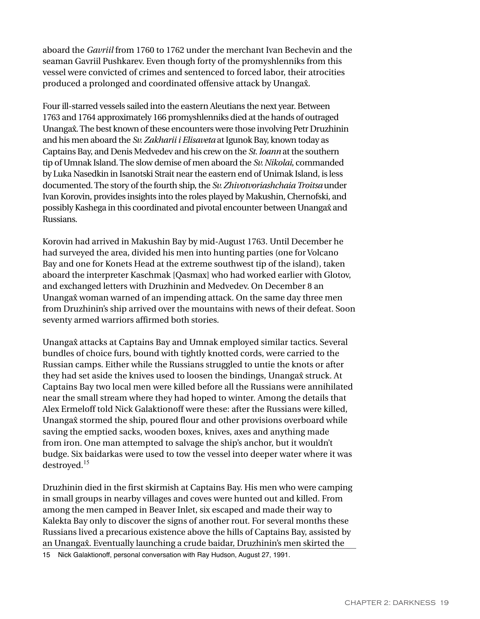aboard the *Gavriil* from 1760 to 1762 under the merchant Ivan Bechevin and the seaman Gavriil Pushkarev. Even though forty of the promyshlenniks from this vessel were convicted of crimes and sentenced to forced labor, their atrocities produced a prolonged and coordinated offensive attack by Unanga $\hat{x}$ .

Four ill-starred vessels sailed into the eastern Aleutians the next year. Between 1763 and 1764 approximately 166 promyshlenniks died at the hands of outraged Unanga $\hat{x}$ . The best known of these encounters were those involving Petr Druzhinin and his men aboard the *Sv. Zakharii i Elisaveta* at Igunok Bay, known today as Captains Bay, and Denis Medvedev and his crew on the *St. Ioann* at the southern tip of Umnak Island. The slow demise of men aboard the *Sv. Nikolai*, commanded by Luka Nasedkin in Isanotski Strait near the eastern end of Unimak Island, is less documented. The story of the fourth ship, the *Sv. Zhivotvoriashchaia Troitsa* under Ivan Korovin, provides insights into the roles played by Makushin, Chernofski, and possibly Kashega in this coordinated and pivotal encounter between Unanga{ and Russians.

Korovin had arrived in Makushin Bay by mid-August 1763. Until December he had surveyed the area, divided his men into hunting parties (one for Volcano Bay and one for Konets Head at the extreme southwest tip of the island), taken aboard the interpreter Kaschmak [Qasmax] who had worked earlier with Glotov, and exchanged letters with Druzhinin and Medvedev. On December 8 an Unanga $\hat{x}$  woman warned of an impending attack. On the same day three men from Druzhinin's ship arrived over the mountains with news of their defeat. Soon seventy armed warriors affirmed both stories.

Unanga{ attacks at Captains Bay and Umnak employed similar tactics. Several bundles of choice furs, bound with tightly knotted cords, were carried to the Russian camps. Either while the Russians struggled to untie the knots or after they had set aside the knives used to loosen the bindings, Unanga $\hat{x}$  struck. At Captains Bay two local men were killed before all the Russians were annihilated near the small stream where they had hoped to winter. Among the details that Alex Ermeloff told Nick Galaktionoff were these: after the Russians were killed, Unanga{ stormed the ship, poured flour and other provisions overboard while saving the emptied sacks, wooden boxes, knives, axes and anything made from iron. One man attempted to salvage the ship's anchor, but it wouldn't budge. Six baidarkas were used to tow the vessel into deeper water where it was destroyed.<sup>15</sup>

Druzhinin died in the first skirmish at Captains Bay. His men who were camping in small groups in nearby villages and coves were hunted out and killed. From among the men camped in Beaver Inlet, six escaped and made their way to Kalekta Bay only to discover the signs of another rout. For several months these Russians lived a precarious existence above the hills of Captains Bay, assisted by an Unanga{. Eventually launching a crude baidar, Druzhinin's men skirted the

15 Nick Galaktionoff, personal conversation with Ray Hudson, August 27, 1991.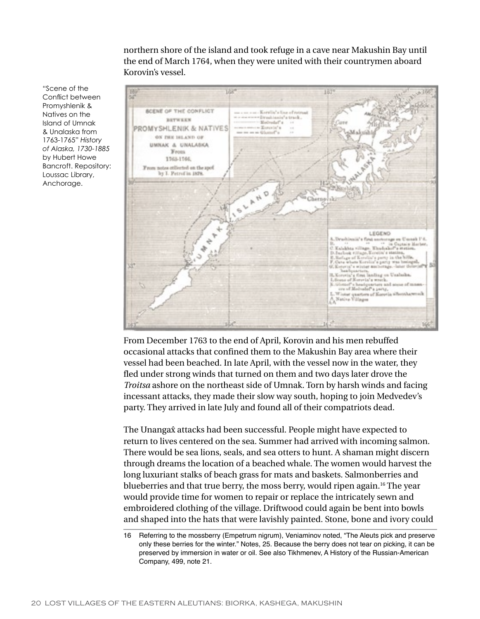northern shore of the island and took refuge in a cave near Makushin Bay until the end of March 1764, when they were united with their countrymen aboard Korovin's vessel.



From December 1763 to the end of April, Korovin and his men rebuffed occasional attacks that confined them to the Makushin Bay area where their vessel had been beached. In late April, with the vessel now in the water, they fled under strong winds that turned on them and two days later drove the *Troitsa* ashore on the northeast side of Umnak. Torn by harsh winds and facing incessant attacks, they made their slow way south, hoping to join Medvedev's party. They arrived in late July and found all of their compatriots dead.

The Unanga $\hat{x}$  attacks had been successful. People might have expected to return to lives centered on the sea. Summer had arrived with incoming salmon. There would be sea lions, seals, and sea otters to hunt. A shaman might discern through dreams the location of a beached whale. The women would harvest the long luxuriant stalks of beach grass for mats and baskets. Salmonberries and blueberries and that true berry, the moss berry, would ripen again.<sup>16</sup> The year would provide time for women to repair or replace the intricately sewn and embroidered clothing of the village. Driftwood could again be bent into bowls and shaped into the hats that were lavishly painted. Stone, bone and ivory could

"Scene of the Conflict between Promyshlenik & Natives on the Island of Umnak & Unalaska from 1763-1765" *History of Alaska, 1730-1885* by Hubert Howe Bancroft. Repository: Loussac Library, Anchorage.

<sup>16</sup> Referring to the mossberry (Empetrum nigrum), Veniaminov noted, "The Aleuts pick and preserve only these berries for the winter." Notes, 25. Because the berry does not tear on picking, it can be preserved by immersion in water or oil. See also Tikhmenev, A History of the Russian-American Company, 499, note 21.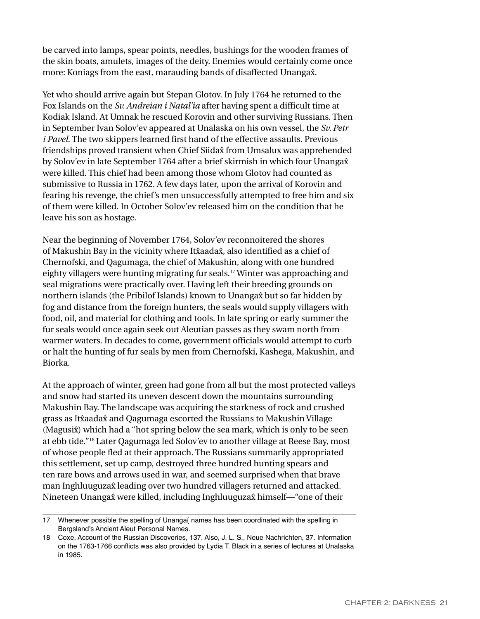be carved into lamps, spear points, needles, bushings for the wooden frames of the skin boats, amulets, images of the deity. Enemies would certainly come once more: Koniags from the east, marauding bands of disaffected Unangax.

Yet who should arrive again but Stepan Glotov. In July 1764 he returned to the Fox Islands on the *Sv. Andreian i Natal'ia* after having spent a difficult time at Kodiak Island. At Umnak he rescued Korovin and other surviving Russians. Then in September Ivan Solov'ev appeared at Unalaska on his own vessel, the *Sv. Petr i Pavel*. The two skippers learned first hand of the effective assaults. Previous friendships proved transient when Chief Siidax from Umsalux was apprehended by Solov'ev in late September 1764 after a brief skirmish in which four Unanga{ were killed. This chief had been among those whom Glotov had counted as submissive to Russia in 1762. A few days later, upon the arrival of Korovin and fearing his revenge, the chief's men unsuccessfully attempted to free him and six of them were killed. In October Solov'ev released him on the condition that he leave his son as hostage.

Near the beginning of November 1764, Solov'ev reconnoitered the shores of Makushin Bay in the vicinity where Itxaadax, also identified as a chief of Chernofski, and Qagumaga, the chief of Makushin, along with one hundred eighty villagers were hunting migrating fur seals.<sup>17</sup> Winter was approaching and seal migrations were practically over. Having left their breeding grounds on northern islands (the Pribilof Islands) known to Unanga $\hat{x}$  but so far hidden by fog and distance from the foreign hunters, the seals would supply villagers with food, oil, and material for clothing and tools. In late spring or early summer the fur seals would once again seek out Aleutian passes as they swam north from warmer waters. In decades to come, government officials would attempt to curb or halt the hunting of fur seals by men from Chernofski, Kashega, Makushin, and Biorka.

At the approach of winter, green had gone from all but the most protected valleys and snow had started its uneven descent down the mountains surrounding Makushin Bay. The landscape was acquiring the starkness of rock and crushed grass as Itxaadax and Qagumaga escorted the Russians to Makushin Village (Magusi $\hat{x}$ ) which had a "hot spring below the sea mark, which is only to be seen at ebb tide."<sup>18</sup> Later Qagumaga led Solov'ev to another village at Reese Bay, most of whose people fled at their approach. The Russians summarily appropriated this settlement, set up camp, destroyed three hundred hunting spears and ten rare bows and arrows used in war, and seemed surprised when that brave man Inghluuguzax leading over two hundred villagers returned and attacked. Nineteen Unanga $\hat{x}$  were killed, including Inghluuguza $\hat{x}$  himself—"one of their

<sup>17</sup> Whenever possible the spelling of Unanga{ names has been coordinated with the spelling in Bergsland's Ancient Aleut Personal Names.

<sup>18</sup> Coxe, Account of the Russian Discoveries, 137. Also, J. L. S., Neue Nachrichten, 37. Information on the 1763-1766 conflicts was also provided by Lydia T. Black in a series of lectures at Unalaska in 1985.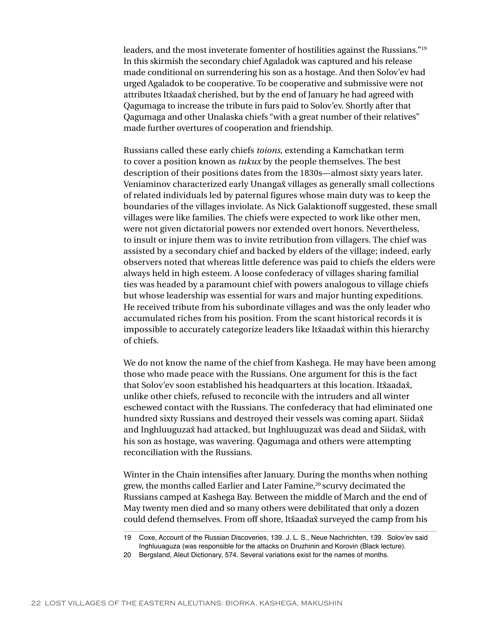leaders, and the most inveterate fomenter of hostilities against the Russians."<sup>19</sup> In this skirmish the secondary chief Agaladok was captured and his release made conditional on surrendering his son as a hostage. And then Solov'ev had urged Agaladok to be cooperative. To be cooperative and submissive were not attributes Itxaadax cherished, but by the end of January he had agreed with Qagumaga to increase the tribute in furs paid to Solov'ev. Shortly after that Qagumaga and other Unalaska chiefs "with a great number of their relatives" made further overtures of cooperation and friendship.

Russians called these early chiefs *toions*, extending a Kamchatkan term to cover a position known as *tukux* by the people themselves. The best description of their positions dates from the 1830s—almost sixty years later. Veniaminov characterized early Unangax villages as generally small collections of related individuals led by paternal figures whose main duty was to keep the boundaries of the villages inviolate. As Nick Galaktionoff suggested, these small villages were like families. The chiefs were expected to work like other men, were not given dictatorial powers nor extended overt honors. Nevertheless, to insult or injure them was to invite retribution from villagers. The chief was assisted by a secondary chief and backed by elders of the village; indeed, early observers noted that whereas little deference was paid to chiefs the elders were always held in high esteem. A loose confederacy of villages sharing familial ties was headed by a paramount chief with powers analogous to village chiefs but whose leadership was essential for wars and major hunting expeditions. He received tribute from his subordinate villages and was the only leader who accumulated riches from his position. From the scant historical records it is impossible to accurately categorize leaders like It $\hat{x}$ aada $\hat{x}$  within this hierarchy of chiefs.

We do not know the name of the chief from Kashega. He may have been among those who made peace with the Russians. One argument for this is the fact that Solov'ev soon established his headquarters at this location. It xaadax, unlike other chiefs, refused to reconcile with the intruders and all winter eschewed contact with the Russians. The confederacy that had eliminated one hundred sixty Russians and destroyed their vessels was coming apart. Siida $\hat{x}$ and Inghluuguza{ had attacked, but Inghluuguza{ was dead and Siida{, with his son as hostage, was wavering. Qagumaga and others were attempting reconciliation with the Russians.

Winter in the Chain intensifies after January. During the months when nothing grew, the months called Earlier and Later Famine,<sup>20</sup> scurvy decimated the Russians camped at Kashega Bay. Between the middle of March and the end of May twenty men died and so many others were debilitated that only a dozen could defend themselves. From off shore, It xaadax surveyed the camp from his

<sup>19</sup> Coxe, Account of the Russian Discoveries, 139. J. L. S., Neue Nachrichten, 139. Solov'ev said Inghluuaguza (was responsible for the attacks on Druzhinin and Korovin (Black lecture).

<sup>20</sup> Bergsland, Aleut Dictionary, 574. Several variations exist for the names of months.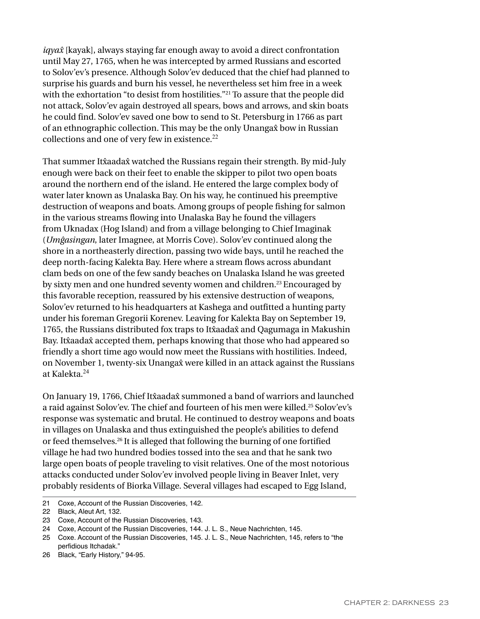*iqya{* [kayak], always staying far enough away to avoid a direct confrontation until May 27, 1765, when he was intercepted by armed Russians and escorted to Solov'ev's presence. Although Solov'ev deduced that the chief had planned to surprise his guards and burn his vessel, he nevertheless set him free in a week with the exhortation "to desist from hostilities."<sup>21</sup> To assure that the people did not attack, Solov'ev again destroyed all spears, bows and arrows, and skin boats he could find. Solov'ev saved one bow to send to St. Petersburg in 1766 as part of an ethnographic collection. This may be the only Unangax bow in Russian collections and one of very few in existence.<sup>22</sup>

That summer It $\hat{x}$ aada $\hat{x}$  watched the Russians regain their strength. By mid-July enough were back on their feet to enable the skipper to pilot two open boats around the northern end of the island. He entered the large complex body of water later known as Unalaska Bay. On his way, he continued his preemptive destruction of weapons and boats. Among groups of people fishing for salmon in the various streams flowing into Unalaska Bay he found the villagers from Uknadax (Hog Island) and from a village belonging to Chief Imaginak (*Umĝasingan*, later Imagnee, at Morris Cove). Solov'ev continued along the shore in a northeasterly direction, passing two wide bays, until he reached the deep north-facing Kalekta Bay. Here where a stream flows across abundant clam beds on one of the few sandy beaches on Unalaska Island he was greeted by sixty men and one hundred seventy women and children.23 Encouraged by this favorable reception, reassured by his extensive destruction of weapons, Solov'ev returned to his headquarters at Kashega and outfitted a hunting party under his foreman Gregorii Korenev. Leaving for Kalekta Bay on September 19, 1765, the Russians distributed fox traps to It taadax and Qagumaga in Makushin Bay. Itxaadax accepted them, perhaps knowing that those who had appeared so friendly a short time ago would now meet the Russians with hostilities. Indeed, on November 1, twenty-six Unanga{ were killed in an attack against the Russians at Kalekta.<sup>24</sup>

On January 19, 1766, Chief Itxaadax summoned a band of warriors and launched a raid against Solov'ev. The chief and fourteen of his men were killed.<sup>25</sup> Solov'ev's response was systematic and brutal. He continued to destroy weapons and boats in villages on Unalaska and thus extinguished the people's abilities to defend or feed themselves.<sup>26</sup> It is alleged that following the burning of one fortified village he had two hundred bodies tossed into the sea and that he sank two large open boats of people traveling to visit relatives. One of the most notorious attacks conducted under Solov'ev involved people living in Beaver Inlet, very probably residents of Biorka Village. Several villages had escaped to Egg Island,

21 Coxe, Account of the Russian Discoveries, 142.

24 Coxe, Account of the Russian Discoveries, 144. J. L. S., Neue Nachrichten, 145.

26 Black, "Early History," 94-95.

<sup>22</sup> Black, Aleut Art, 132.

<sup>23</sup> Coxe, Account of the Russian Discoveries, 143.

<sup>25</sup> Coxe. Account of the Russian Discoveries, 145. J. L. S., Neue Nachrichten, 145, refers to "the perfidious Itchadak."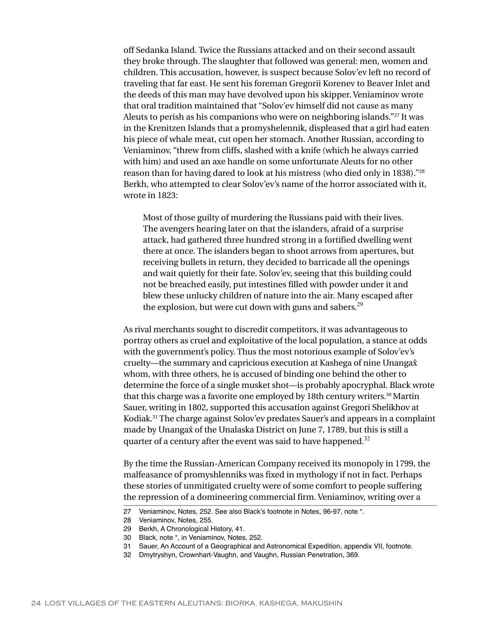off Sedanka Island. Twice the Russians attacked and on their second assault they broke through. The slaughter that followed was general: men, women and children. This accusation, however, is suspect because Solov'ev left no record of traveling that far east. He sent his foreman Gregorii Korenev to Beaver Inlet and the deeds of this man may have devolved upon his skipper. Veniaminov wrote that oral tradition maintained that "Solov'ev himself did not cause as many Aleuts to perish as his companions who were on neighboring islands."<sup>27</sup> It was in the Krenitzen Islands that a promyshelennik, displeased that a girl had eaten his piece of whale meat, cut open her stomach. Another Russian, according to Veniaminov, "threw from cliffs, slashed with a knife (which he always carried with him) and used an axe handle on some unfortunate Aleuts for no other reason than for having dared to look at his mistress (who died only in 1838)."28 Berkh, who attempted to clear Solov'ev's name of the horror associated with it, wrote in 1823:

Most of those guilty of murdering the Russians paid with their lives. The avengers hearing later on that the islanders, afraid of a surprise attack, had gathered three hundred strong in a fortified dwelling went there at once. The islanders began to shoot arrows from apertures, but receiving bullets in return, they decided to barricade all the openings and wait quietly for their fate. Solov'ev, seeing that this building could not be breached easily, put intestines filled with powder under it and blew these unlucky children of nature into the air. Many escaped after the explosion, but were cut down with guns and sabers.<sup>29</sup>

As rival merchants sought to discredit competitors, it was advantageous to portray others as cruel and exploitative of the local population, a stance at odds with the government's policy. Thus the most notorious example of Solov'ev's cruelty—the summary and capricious execution at Kashega of nine Unanga{ whom, with three others, he is accused of binding one behind the other to determine the force of a single musket shot—is probably apocryphal. Black wrote that this charge was a favorite one employed by 18th century writers.<sup>30</sup> Martin Sauer, writing in 1802, supported this accusation against Gregori Shelikhov at Kodiak.<sup>31</sup> The charge against Solov'ev predates Sauer's and appears in a complaint made by Unanga $\hat{x}$  of the Unalaska District on June 7, 1789, but this is still a quarter of a century after the event was said to have happened.<sup>32</sup>

By the time the Russian-American Company received its monopoly in 1799, the malfeasance of promyshlenniks was fixed in mythology if not in fact. Perhaps these stories of unmitigated cruelty were of some comfort to people suffering the repression of a domineering commercial firm. Veniaminov, writing over a

- 30 Black, note \*, in Veniaminov, Notes, 252.
- 31 Sauer, An Account of a Geographical and Astronomical Expedition, appendix VII, footnote.
- 32 Dmytryshyn, Crownhart-Vaughn, and Vaughn, Russian Penetration, 369.

<sup>27</sup> Veniaminov, Notes, 252. See also Black's footnote in Notes, 96-97, note \*.

<sup>28</sup> Veniaminov, Notes, 255.

<sup>29</sup> Berkh, A Chronological History, 41.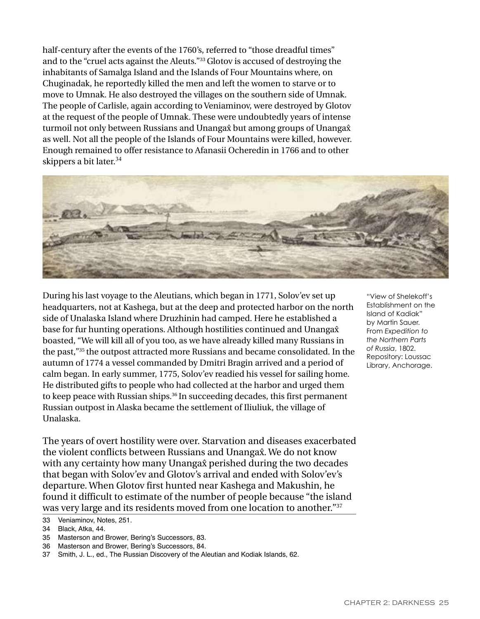half-century after the events of the 1760's, referred to "those dreadful times" and to the "cruel acts against the Aleuts."33 Glotov is accused of destroying the inhabitants of Samalga Island and the Islands of Four Mountains where, on Chuginadak, he reportedly killed the men and left the women to starve or to move to Umnak. He also destroyed the villages on the southern side of Umnak. The people of Carlisle, again according to Veniaminov, were destroyed by Glotov at the request of the people of Umnak. These were undoubtedly years of intense turmoil not only between Russians and Unanga $\hat{x}$  but among groups of Unanga $\hat{x}$ as well. Not all the people of the Islands of Four Mountains were killed, however. Enough remained to offer resistance to Afanasii Ocheredin in 1766 and to other skippers a bit later.<sup>34</sup>



During his last voyage to the Aleutians, which began in 1771, Solov'ev set up headquarters, not at Kashega, but at the deep and protected harbor on the north side of Unalaska Island where Druzhinin had camped. Here he established a base for fur hunting operations. Although hostilities continued and Unanga $\hat{x}$ boasted, "We will kill all of you too, as we have already killed many Russians in the past,"<sup>35</sup> the outpost attracted more Russians and became consolidated. In the autumn of 1774 a vessel commanded by Dmitri Bragin arrived and a period of calm began. In early summer, 1775, Solov'ev readied his vessel for sailing home. He distributed gifts to people who had collected at the harbor and urged them to keep peace with Russian ships.<sup>36</sup> In succeeding decades, this first permanent Russian outpost in Alaska became the settlement of Iliuliuk, the village of Unalaska.

The years of overt hostility were over. Starvation and diseases exacerbated the violent conflicts between Russians and Unanga $\hat{x}$ . We do not know with any certainty how many Unanga $\hat{x}$  perished during the two decades that began with Solov'ev and Glotov's arrival and ended with Solov'ev's departure. When Glotov first hunted near Kashega and Makushin, he found it difficult to estimate of the number of people because "the island was very large and its residents moved from one location to another."37

- 35 Masterson and Brower, Bering's Successors, 83.
- 36 Masterson and Brower, Bering's Successors, 84.
- 37 Smith, J. L., ed., The Russian Discovery of the Aleutian and Kodiak Islands, 62.

"View of Shelekoff's Establishment on the Island of Kadiak" by Martin Sauer. From *Expedition to the Northern Parts of Russia*, 1802. Repository: Loussac Library, Anchorage.

<sup>33</sup> Veniaminov, Notes, 251.

<sup>34</sup> Black, Atka, 44.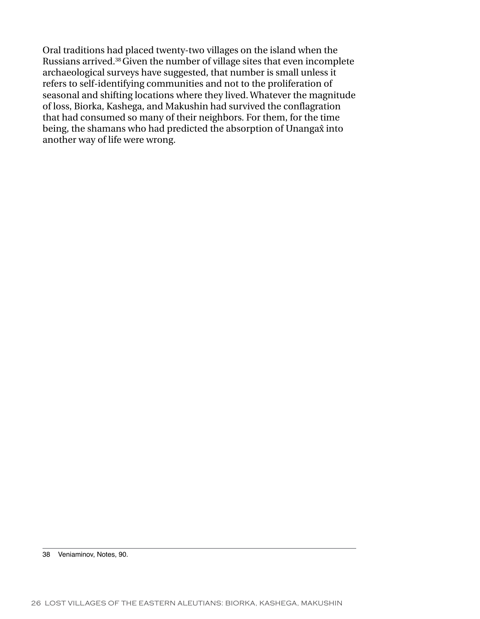Oral traditions had placed twenty-two villages on the island when the Russians arrived.<sup>38</sup>Given the number of village sites that even incomplete archaeological surveys have suggested, that number is small unless it refers to self-identifying communities and not to the proliferation of seasonal and shifting locations where they lived. Whatever the magnitude of loss, Biorka, Kashega, and Makushin had survived the conflagration that had consumed so many of their neighbors. For them, for the time being, the shamans who had predicted the absorption of Unanga $\hat{x}$  into another way of life were wrong.